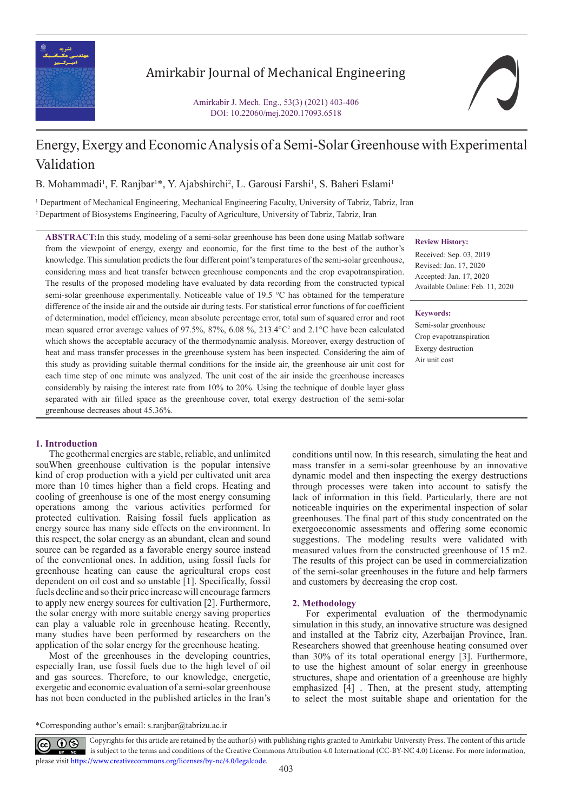

# Amirkabir Journal of Mechanical Engineering

Amirkabir J. Mech. Eng., 53(3) (2021) 403-406 DOI: 10.22060/mej.2020.17093.6518

# Energy, Exergy and Economic Analysis of a Semi-Solar Greenhouse with Experimental Validation

B. Mohammadi<sup>1</sup>, F. Ranjbar<sup>1\*</sup>, Y. Ajabshirchi<sup>2</sup>, L. Garousi Farshi<sup>1</sup>, S. Baheri Eslami<sup>1</sup>

1 Department of Mechanical Engineering, Mechanical Engineering Faculty, University of Tabriz, Tabriz, Iran 2 Department of Biosystems Engineering, Faculty of Agriculture, University of Tabriz, Tabriz, Iran

**ABSTRACT:**In this study, modeling of a semi-solar greenhouse has been done using Matlab software from the viewpoint of energy, exergy and economic, for the first time to the best of the author's knowledge. This simulation predicts the four different point's temperatures of the semi-solar greenhouse, considering mass and heat transfer between greenhouse components and the crop evapotranspiration. The results of the proposed modeling have evaluated by data recording from the constructed typical semi-solar greenhouse experimentally. Noticeable value of 19.5 °C has obtained for the temperature difference of the inside air and the outside air during tests. For statistical error functions of for coefficient of determination, model efficiency, mean absolute percentage error, total sum of squared error and root mean squared error average values of 97.5%, 87%, 6.08 %, 213.4 °C<sup>2</sup> and 2.1 °C have been calculated which shows the acceptable accuracy of the thermodynamic analysis. Moreover, exergy destruction of heat and mass transfer processes in the greenhouse system has been inspected. Considering the aim of this study as providing suitable thermal conditions for the inside air, the greenhouse air unit cost for each time step of one minute was analyzed. The unit cost of the air inside the greenhouse increases considerably by raising the interest rate from 10% to 20%. Using the technique of double layer glass separated with air filled space as the greenhouse cover, total exergy destruction of the semi-solar greenhouse decreases about 45.36%.

## **1. Introduction**

The geothermal energies are stable, reliable, and unlimited souWhen greenhouse cultivation is the popular intensive kind of crop production with a yield per cultivated unit area more than 10 times higher than a field crops. Heating and cooling of greenhouse is one of the most energy consuming operations among the various activities performed for protected cultivation. Raising fossil fuels application as energy source has many side effects on the environment. In this respect, the solar energy as an abundant, clean and sound source can be regarded as a favorable energy source instead of the conventional ones. In addition, using fossil fuels for greenhouse heating can cause the agricultural crops cost dependent on oil cost and so unstable [1]. Specifically, fossil fuels decline and so their price increase will encourage farmers to apply new energy sources for cultivation [2]. Furthermore, the solar energy with more suitable energy saving properties can play a valuable role in greenhouse heating. Recently, many studies have been performed by researchers on the application of the solar energy for the greenhouse heating.

Most of the greenhouses in the developing countries, especially Iran, use fossil fuels due to the high level of oil and gas sources. Therefore, to our knowledge, energetic, exergetic and economic evaluation of a semi-solar greenhouse has not been conducted in the published articles in the Iran's **Review History:**

Received: Sep. 03, 2019 Revised: Jan. 17, 2020 Accepted: Jan. 17, 2020 Available Online: Feb. 11, 2020

**Keywords:**

Semi-solar greenhouse Crop evapotranspiration Exergy destruction Air unit cost

conditions until now. In this research, simulating the heat and mass transfer in a semi-solar greenhouse by an innovative dynamic model and then inspecting the exergy destructions through processes were taken into account to satisfy the lack of information in this field. Particularly, there are not noticeable inquiries on the experimental inspection of solar greenhouses. The final part of this study concentrated on the exergoeconomic assessments and offering some economic suggestions. The modeling results were validated with measured values from the constructed greenhouse of 15 m2. The results of this project can be used in commercialization of the semi-solar greenhouses in the future and help farmers and customers by decreasing the crop cost.

## **2. Methodology**

For experimental evaluation of the thermodynamic simulation in this study, an innovative structure was designed and installed at the Tabriz city, Azerbaijan Province, Iran. Researchers showed that greenhouse heating consumed over than 30% of its total operational energy [3]. Furthermore, to use the highest amount of solar energy in greenhouse structures, shape and orientation of a greenhouse are highly emphasized [4] . Then, at the present study, attempting to select the most suitable shape and orientation for the

\*Corresponding author's email: s.ranjbar@tabrizu.ac.ir

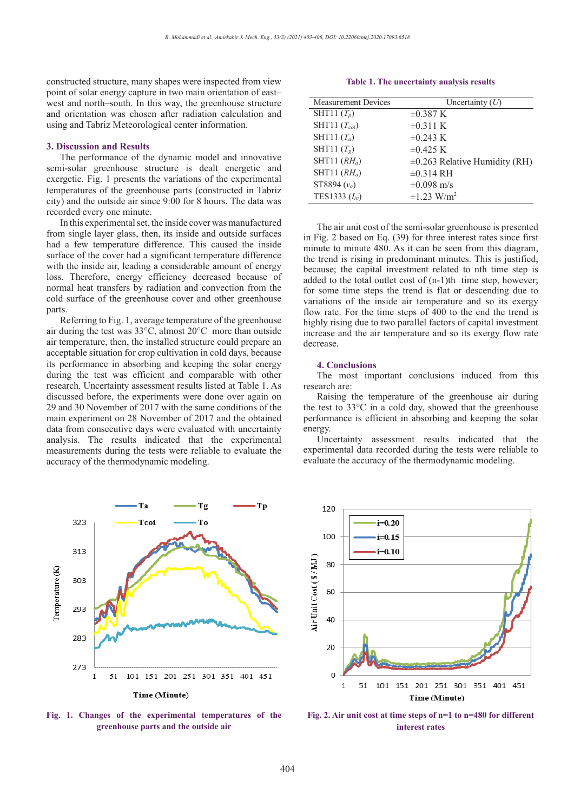constructed structure, many shapes were inspected from view point of solar energy capture in two main orientation of east– west and north–south. In this way, the greenhouse structure and orientation was chosen after radiation calculation and using and Tabriz Meteorological center information.

#### **3. Discussion and Results**

The performance of the dynamic model and innovative semi-solar greenhouse structure is dealt energetic and exergetic. Fig. 1 presents the variations of the experimental temperatures of the greenhouse parts (constructed in Tabriz city) and the outside air since 9:00 for 8 hours. The data was recorded every one minute.

In this experimental set, the inside cover was manufactured from single layer glass, then, its inside and outside surfaces had a few temperature difference. This caused the inside surface of the cover had a significant temperature difference with the inside air, leading a considerable amount of energy loss. Therefore, energy efficiency decreased because of normal heat transfers by radiation and convection from the cold surface of the greenhouse cover and other greenhouse parts.

Referring to Fig. 1, average temperature of the greenhouse air during the test was 33°C, almost 20°C more than outside air temperature, then, the installed structure could prepare an acceptable situation for crop cultivation in cold days, because its performance in absorbing and keeping the solar energy during the test was efficient and comparable with other research. Uncertainty assessment results listed at Table 1. As discussed before, the experiments were done over again on 29 and 30 November of 2017 with the same conditions of the main experiment on 28 November of 2017 and the obtained data from consecutive days were evaluated with uncertainty analysis. The results indicated that the experimental measurements during the tests were reliable to evaluate the accuracy of the thermodynamic modeling.



| <b>Measurement Devices</b> | Uncertainty $(U)$                  |
|----------------------------|------------------------------------|
| SHT11 $(T_p)$              | $\pm 0.387$ K                      |
| SHT11 $(T_{coi})$          | $\pm 0.311$ K                      |
| SHT11 $(T_a)$              | $\pm 0.243$ K                      |
| SHT11 $(T_g)$              | $\pm 0.425$ K                      |
| SHT11 $(RH_a)$             | $\pm 0.263$ Relative Humidity (RH) |
| SHT11 $(RHo)$              | $\pm 0.314$ RH                     |
| ST8894 $(vo)$              | $\pm 0.098$ m/s                    |
| TES1333 $(I_{in})$         | $\pm 1.23$ W/m <sup>2</sup>        |

The air unit cost of the semi-solar greenhouse is presented in Fig. 2 based on Eq. (39) for three interest rates since first minute to minute 480. As it can be seen from this diagram, the trend is rising in predominant minutes. This is justified, because; the capital investment related to nth time step is added to the total outlet cost of (n-1)th time step, however; for some time steps the trend is flat or descending due to variations of the inside air temperature and so its exergy flow rate. For the time steps of 400 to the end the trend is highly rising due to two parallel factors of capital investment increase and the air temperature and so its exergy flow rate decrease.

#### **4. Conclusions**

The most important conclusions induced from this research are:

Raising the temperature of the greenhouse air during the test to 33°C in a cold day, showed that the greenhouse performance is efficient in absorbing and keeping the solar energy.

Uncertainty assessment results indicated that the experimental data recorded during the tests were reliable to evaluate the accuracy of the thermodynamic modeling.



Fig. 1. Changes of the experimental temperatures of the Fig. 2. Air unit cost at time steps of  $n=1$  to  $n=480$  for different **greenhouse parts and the outside air** the outside air



**Fig. 2. Air unit cost at time steps of n=1 to n=480 for different interest rates**